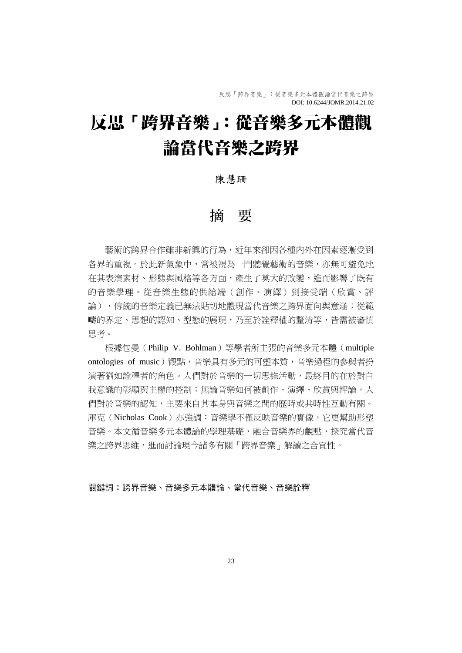反思「跨界音樂」:從音樂多元本體觀論當代音樂之跨界 DOI: 10.6244/JOMR.2014.21.02

# 反思「跨界音樂」:從音樂多元本體觀 論當代音樂之跨界

### 陳慧珊

## 摘 要

藝術的跨界合作雖非新興的行為,近年來卻因各種內外在因素逐漸受到 各界的重視。於此新氣象中,常被視為一門聽覺藝術的音樂,亦無可避免地 在其表演素材、形態與風格等各方面,產生了莫大的改變,進而影響了既有 的音樂學理。從音樂生態的供給端(創作、演繹)到接受端(欣賞、評 論),傳統的音樂定義已無法貼切地體現當代音樂之跨界面向與意涵;從範 疇的界定、思想的認知、型態的展現,乃至於詮釋權的釐清等,皆需被審慎 思考。

根據包曼(Philip V. Bohlman)等學者所主張的音樂多元本體(multiple ontologies of music)觀點,音樂具有多元的可塑本質,音樂過程的參與者扮 演著猶如詮釋者的角色。人們對於音樂的一切思維活動,最終目的在於對自 我意識的彰顯與主權的控制;無論音樂如何被創作、演繹、欣賞與評論,人 們對於音樂的認知,主要來自其本身與音樂之間的歷時或共時性互動有關。 庫克(Nicholas Cook)亦強調:音樂學不僅反映音樂的實像,它更幫助形塑 音樂。本文循音樂多元本體論的學理基礎,融合音樂界的觀點,探究當代音 樂之跨界思維,進而討論現今諸多有關「跨界音樂」解讀之合宜性。

#### 關鍵詞:跨界音樂、音樂多元本體論、當代音樂、音樂詮釋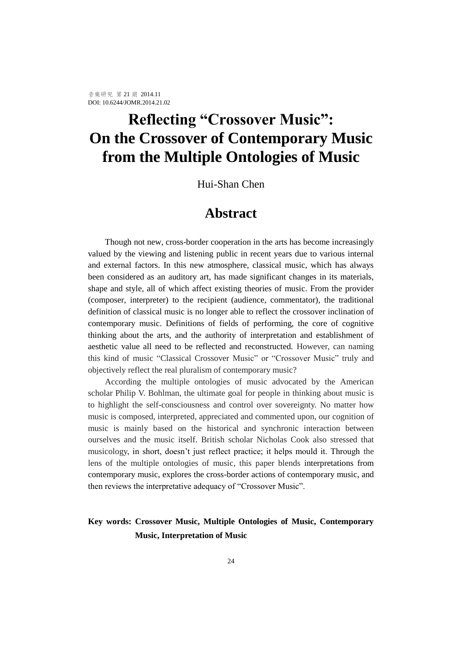# **Reflecting "Crossover Music": On the Crossover of Contemporary Music from the Multiple Ontologies of Music**

Hui-Shan Chen

# **Abstract**

Though not new, cross-border cooperation in the arts has become increasingly valued by the viewing and listening public in recent years due to various internal and external factors. In this new atmosphere, classical music, which has always been considered as an auditory art, has made significant changes in its materials, shape and style, all of which affect existing theories of music. From the provider (composer, interpreter) to the recipient (audience, commentator), the traditional definition of classical music is no longer able to reflect the crossover inclination of contemporary music. Definitions of fields of performing, the core of cognitive thinking about the arts, and the authority of interpretation and establishment of aesthetic value all need to be reflected and reconstructed. However, can naming this kind of music "Classical Crossover Music" or "Crossover Music" truly and objectively reflect the real pluralism of contemporary music?

According the multiple ontologies of music advocated by the American scholar Philip V. Bohlman, the ultimate goal for people in thinking about music is to highlight the self-consciousness and control over sovereignty. No matter how music is composed, interpreted, appreciated and commented upon, our cognition of music is mainly based on the historical and synchronic interaction between ourselves and the music itself. British scholar Nicholas Cook also stressed that musicology, in short, doesn't just reflect practice; it helps mould it. Through the lens of the multiple ontologies of music, this paper blends interpretations from contemporary music, explores the cross-border actions of contemporary music, and then reviews the interpretative adequacy of "Crossover Music".

### **Key words: Crossover Music, Multiple Ontologies of Music, Contemporary Music, Interpretation of Music**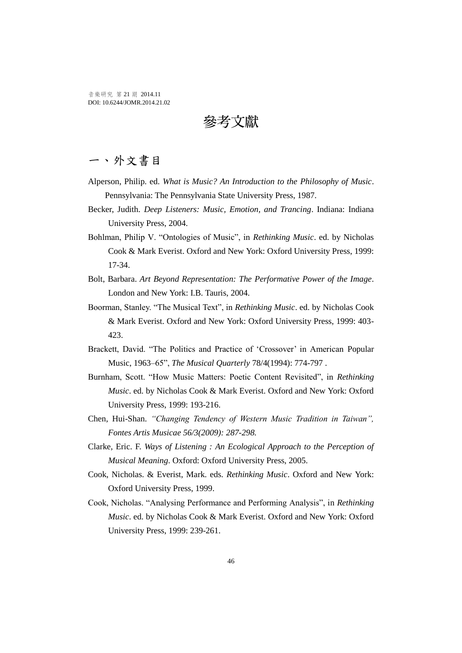音樂研究 第 21 期 2014.11 DOI: 10.6244/JOMR.2014.21.02

參考文獻

# 一、外文書目

- Alperson, Philip. ed. *What is Music? An Introduction to the Philosophy of Music*. Pennsylvania: The Pennsylvania State University Press, 1987.
- Becker, Judith. *Deep Listeners: Music, Emotion, and Trancing*. Indiana: Indiana University Press, 2004.
- Bohlman, Philip V. "Ontologies of Music", in *Rethinking Music*. ed. by Nicholas Cook & Mark Everist. Oxford and New York: Oxford University Press, 1999: 17-34.
- Bolt, Barbara. *Art Beyond Representation: The Performative Power of the Image*. London and New York: I.B. Tauris, 2004.
- Boorman, Stanley. "The Musical Text", in *Rethinking Music*. ed. by Nicholas Cook & Mark Everist. Oxford and New York: Oxford University Press, 1999: 403- 423.
- Brackett, David. "The Politics and Practice of 'Crossover' in American Popular Music, 1963–65", *The Musical Quarterly* 78/4(1994): 774-797 .
- Burnham, Scott. "How Music Matters: Poetic Content Revisited", in *Rethinking Music*. ed. by Nicholas Cook & Mark Everist. Oxford and New York: Oxford University Press, 1999: 193-216.
- Chen, Hui-Shan. *"Changing Tendency of Western Music Tradition in Taiwan", Fontes Artis Musicae 56/3(2009): 287-298.*
- Clarke, Eric. F. *Ways of Listening : An Ecological Approach to the Perception of Musical Meaning*. Oxford: Oxford University Press, 2005.
- Cook, Nicholas. & Everist, Mark. eds. *Rethinking Music*. Oxford and New York: Oxford University Press, 1999.
- Cook, Nicholas. "Analysing Performance and Performing Analysis", in *Rethinking Music*. ed. by Nicholas Cook & Mark Everist. Oxford and New York: Oxford University Press, 1999: 239-261.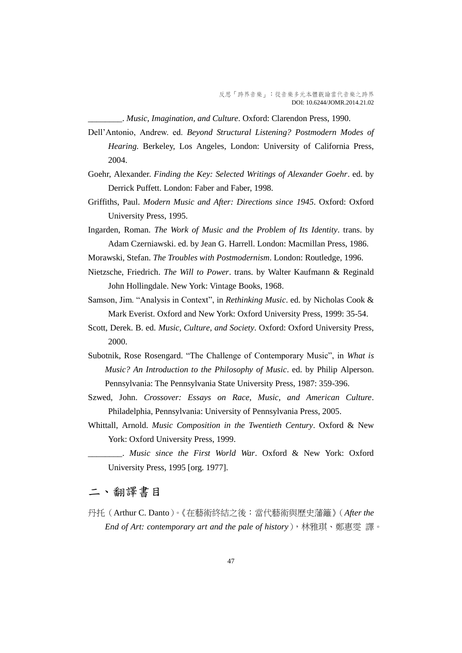\_\_\_\_\_\_\_\_. *Music, Imagination, and Culture*. Oxford: Clarendon Press, 1990.

- Dell'Antonio, Andrew. ed. *Beyond Structural Listening? Postmodern Modes of Hearing*. Berkeley, Los Angeles, London: University of California Press, 2004.
- Goehr, Alexander. *Finding the Key: Selected Writings of Alexander Goehr*. ed. by Derrick Puffett. London: Faber and Faber, 1998.
- Griffiths, Paul. *Modern Music and After: Directions since 1945*. Oxford: Oxford University Press, 1995.
- Ingarden, Roman. *The Work of Music and the Problem of Its Identity*. trans. by Adam Czerniawski. ed. by Jean G. Harrell. London: Macmillan Press, 1986.
- Morawski, Stefan. *The Troubles with Postmodernism*. London: Routledge, 1996.
- Nietzsche, Friedrich. *The Will to Power*. trans. by Walter Kaufmann & Reginald John Hollingdale. New York: Vintage Books, 1968.
- Samson, Jim. "Analysis in Context", in *Rethinking Music*. ed. by Nicholas Cook & Mark Everist. Oxford and New York: Oxford University Press, 1999: 35-54.
- Scott, Derek. B. ed. *Music, Culture, and Society*. Oxford: Oxford University Press, 2000.
- Subotnik, Rose Rosengard. "The Challenge of Contemporary Music", in *What is Music? An Introduction to the Philosophy of Music*. ed. by Philip Alperson. Pennsylvania: The Pennsylvania State University Press, 1987: 359-396.
- Szwed, John. *Crossover: Essays on Race, Music, and American Culture*. Philadelphia, Pennsylvania: University of Pennsylvania Press, 2005.
- Whittall, Arnold. *Music Composition in the Twentieth Century*. Oxford & New York: Oxford University Press, 1999.

## 二、翻譯書目

丹托(Arthur C. Danto)。《在藝術終結之後:當代藝術與歷史藩籬》(*After the End of Art: contemporary art and the pale of history*),林雅琪、鄭惠雯 譯。

\_\_\_\_\_\_\_\_. *Music since the First World War*. Oxford & New York: Oxford University Press, 1995 [org. 1977].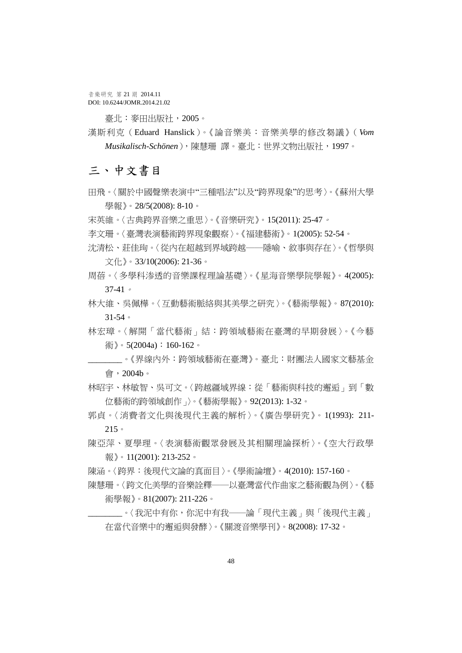音樂研究 第 21 期 2014.11 DOI: 10.6244/JOMR.2014.21.02

臺北:麥田出版社,2005。

漢斯利克(Eduard Hanslick)。《論音樂美:音樂美學的修改芻議》(*Vom Musikalisch-Schönen*),陳慧珊 譯。臺北:世界文物出版社,1997。

# 三、中文書目

- 田飛。〈關於中國聲樂表演中"三種唱法"以及"跨界現象"的思考〉。《蘇州大學 學報》。28/5(2008): 8-10。
- 宋英維。〈古典跨界音樂之重思〉。《音樂研究》。15(2011): 25-47。
- 李文珊。〈臺灣表演藝術跨界現象觀察〉。《福建藝術》。1(2005): 52-54。
- 沈清松、莊佳珣。〈從內在超越到界域跨越――隱喻、敘事與存在〉。《哲學與 文化》。33/10(2006): 21-36。
- 周蓓。〈多學科渗透的音樂課程理論基礎〉。《星海音樂學院學報》。4(2005): 37-41。
- 林大維、吳佩樺。〈互動藝術脈絡與其美學之研究〉。《藝術學報》。87(2010): 31-54。
- 林宏璋。〈解開「當代藝術」結:跨領域藝術在臺灣的早期發展〉。《今藝 術》。5(2004a):160-162。
- \_\_\_\_\_\_\_\_。《界線內外:跨領域藝術在臺灣》。臺北:財團法人國家文藝基金 會,2004b。
- 林昭宇、林敏智、吳可文。〈跨越疆域界線:從「藝術與科技的邂逅」到「數 位藝術的跨領域創作」〉。《藝術學報》。92(2013): 1-32。
- 郭貞。〈消費者文化與後現代主義的解析〉。《廣告學研究》。1(1993): 211- 215。
- 陳亞萍、夏學理。〈表演藝術觀眾發展及其相關理論探析〉。《空大行政學 報》。11(2001): 213-252。
- 陳涵。〈跨界:後現代文論的真面目〉。《學術論壇》。4(2010): 157-160。
- 陳慧珊。〈跨文化美學的音樂詮釋――以臺灣當代作曲家之藝術觀為例〉。《藝 術學報》。81(2007): 211-226。
	- \_\_\_\_\_\_\_\_。〈我泥中有你,你泥中有我――論「現代主義」與「後現代主義」 在當代音樂中的邂逅與發酵〉。《關渡音樂學刊》。8(2008): 17-32。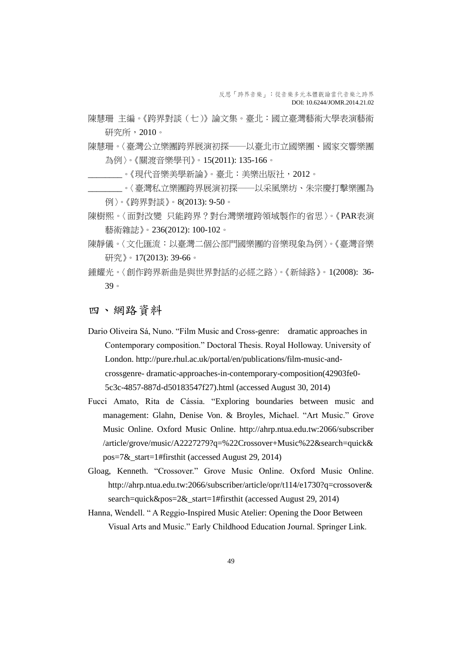- 陳慧珊 主編。《跨界對談(七)》論文集。臺北:國立臺灣藝術大學表演藝術 研究所, 2010。
- 陳慧珊。〈臺灣公立樂團跨界展演初探――以臺北市立國樂團、國家交響樂團 為例〉。《關渡音樂學刊》。15(2011): 135-166。
	- \_\_\_\_\_\_\_\_。《現代音樂美學新論》。臺北:美樂出版社,2012。
	- \_\_\_\_\_\_\_\_。〈臺灣私立樂團跨界展演初探――以采風樂坊、朱宗慶打擊樂團為 例〉。《跨界對談》。8(2013): 9-50。
- 陳樹熙。〈面對改變 只能跨界?對台灣樂壇跨領域製作的省思〉。《PAR表演 藝術雜誌》。236(2012): 100-102。
- 陳靜儀。〈文化匯流:以臺灣二個公部門國樂團的音樂現象為例〉。《臺灣音樂 研究》。17(2013): 39-66。
- 鍾耀光。〈創作跨界新曲是與世界對話的必經之路〉。《新絲路》。1(2008): 36- 39。

四、網路資料

- Dario Oliveira Sá, Nuno. "Film Music and Cross-genre: dramatic approaches in Contemporary composition." Doctoral Thesis. Royal Holloway. University of London. http://pure.rhul.ac.uk/portal/en/publications/film-music-andcrossgenre- dramatic-approaches-in-contemporary-composition(42903fe0- 5c3c-4857-887d-d50183547f27).html (accessed August 30, 2014)
- Fucci Amato, Rita de Cássia. "Exploring boundaries between music and management: Glahn, Denise Von. & Broyles, Michael. "Art Music." Grove Music Online. Oxford Music Online. http://ahrp.ntua.edu.tw:2066/subscriber [/article/grove/music/A2227279?q=%22Crossover+Music%22&search=quick&](http://ahrp.ntua.edu.tw:2066/subscriber/article/grove/music/A2227279?q=%22Crossover+Music%22&search=quick&pos=7&_start=1#firsthit)  $pos=7&$  start=1#firsthit (accessed August 29, 2014)
- Gloag, Kenneth. "Crossover." Grove Music Online. Oxford Music Online. [http://ahrp.ntua.edu.tw:2066/subscriber/article/opr/t114/e1730?q=crossover&](http://ahrp.ntua.edu.tw:2066/subscriber/article/opr/t114/e1730?q=crossover&search=quick&pos=2&_start=1#firsthit) [search=quick&pos=2&\\_start=1#firsthit](http://ahrp.ntua.edu.tw:2066/subscriber/article/opr/t114/e1730?q=crossover&search=quick&pos=2&_start=1#firsthit) (accessed August 29, 2014)
- Hanna, Wendell. " A Reggio-Inspired Music Atelier: Opening the Door Between Visual Arts and Music." Early Childhood Education Journal. Springer Link.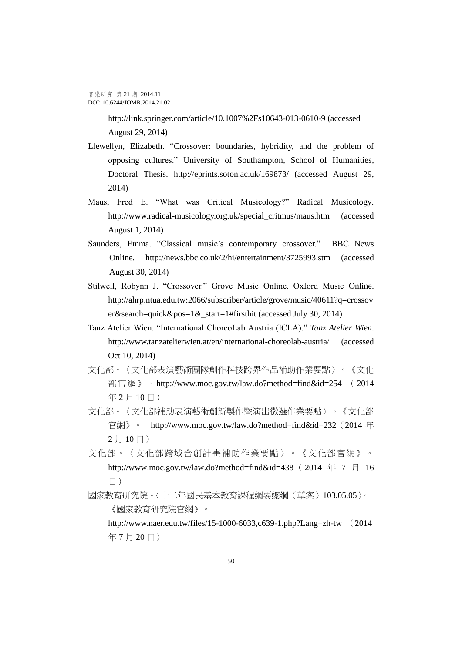<http://link.springer.com/article/10.1007%2Fs10643-013-0610-9> (accessed August 29, 2014)

- Llewellyn, Elizabeth. "Crossover: boundaries, hybridity, and the problem of opposing cultures." University of Southampton*,* School of Humanities*,*  Doctoral Thesis. http://eprints.soton.ac.uk/169873/ (accessed August 29, 2014)
- Maus, Fred E. "What was Critical Musicology?" Radical Musicology. http://www.radical-musicology.org.uk/special\_critmus/maus.htm (accessed August 1, 2014)
- Saunders, Emma. "Classical music's contemporary crossover." BBC News Online. <http://news.bbc.co.uk/2/hi/entertainment/3725993.stm> (accessed August 30, 2014)
- Stilwell, Robynn J. "Crossover." Grove Music Online. Oxford Music Online. http://ahrp.ntua.edu.tw:2066/subscriber/article/grove/music/40611?q=crossov er&search=quick&pos=1& start=1#firsthit (accessed July 30, 2014)
- Tanz Atelier Wien. "International ChoreoLab Austria (ICLA)." *Tanz Atelier Wien*. http://www.tanzatelierwien.at/en/international-choreolab-austria/ (accessed Oct 10, 2014)
- 文化部。〈文化部表演藝術團隊創作科技跨界作品補助作業要點〉。《文化 部官網》。http://www.moc.gov.tw/law.do?method=find&id=254 (2014 年 2 月 10 日)
- 文化部。〈文化部補助表演藝術創新製作暨演出徵選作業要點〉。《文化部 官網》。 http://www.moc.gov.tw/law.do?method=find&id=232 (2014 年 2 月 10 日)
- 文化部。〈文化部跨域合創計畫補助作業要點〉。《文化部官網》。 http://www.moc.gov.tw/law.do?method=find&id=438 (2014 年 7 月 16 日)
- 國家教育研究院。〈十二年國民基本教育課程綱要總綱(草案)103.05.05〉。 《國家教育研究院官網》。

http://www.naer.edu.tw/files/15-1000-6033,c639-1.php?Lang=zh-tw (2014 年 7 月 20 日)